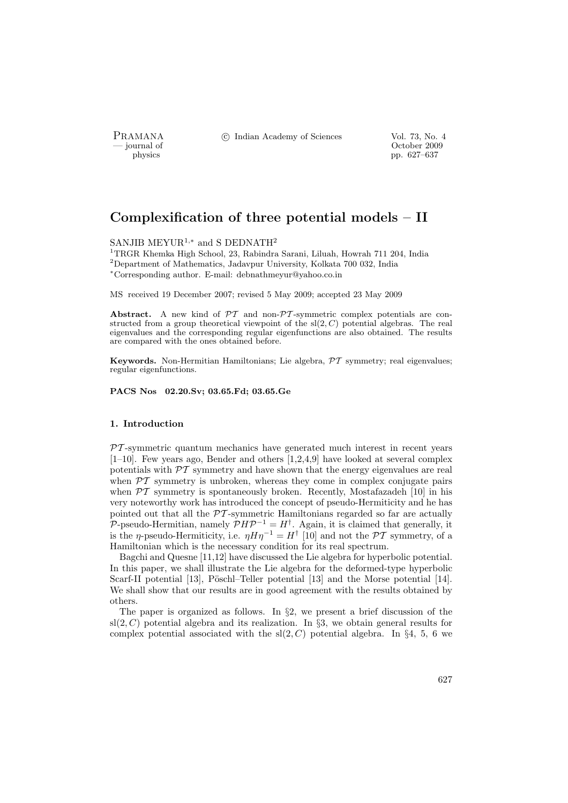PRAMANA <sup>©</sup>© Indian Academy of Sciences Vol. 73, No. 4<br>
— journal of Cortober 2009

position of the contract of the contract of the contract of the contract of the contract of the contract of the contract of the contract of the contract of the contract of the contract of the contract of the contract of th physics pp. 627–637

# Complexification of three potential models – II

# SANJIB MEYUR<sup>1,\*</sup> and S DEDNATH<sup>2</sup>

<sup>1</sup>TRGR Khemka High School, 23, Rabindra Sarani, Liluah, Howrah 711 204, India <sup>2</sup>Department of Mathematics, Jadavpur University, Kolkata 700 032, India <sup>∗</sup>Corresponding author. E-mail: debnathmeyur@yahoo.co.in

MS received 19 December 2007; revised 5 May 2009; accepted 23 May 2009

Abstract. A new kind of  $\mathcal{PT}$  and non- $\mathcal{PT}$ -symmetric complex potentials are constructed from a group theoretical viewpoint of the  $sl(2, C)$  potential algebras. The real eigenvalues and the corresponding regular eigenfunctions are also obtained. The results are compared with the ones obtained before.

Keywords. Non-Hermitian Hamiltonians; Lie algebra,  $\mathcal{PT}$  symmetry; real eigenvalues; regular eigenfunctions.

PACS Nos 02.20.Sv; 03.65.Fd; 03.65.Ge

#### 1. Introduction

 $PT$ -symmetric quantum mechanics have generated much interest in recent years  $[1-10]$ . Few years ago, Bender and others  $[1,2,4,9]$  have looked at several complex potentials with  $\mathcal{PT}$  symmetry and have shown that the energy eigenvalues are real when  $\mathcal{PT}$  symmetry is unbroken, whereas they come in complex conjugate pairs when  $\mathcal{PT}$  symmetry is spontaneously broken. Recently, Mostafazadeh [10] in his very noteworthy work has introduced the concept of pseudo-Hermiticity and he has pointed out that all the  $\mathcal{PT}$ -symmetric Hamiltonians regarded so far are actually P-pseudo-Hermitian, namely  $\mathcal{P} H \mathcal{P}^{-1} = H^{\dagger}$ . Again, it is claimed that generally, it is the *η*-pseudo-Hermiticity, i.e.  $\eta H \eta^{-1} = H^{\dagger}$  [10] and not the PT symmetry, of a Hamiltonian which is the necessary condition for its real spectrum.

Bagchi and Quesne [11,12] have discussed the Lie algebra for hyperbolic potential. In this paper, we shall illustrate the Lie algebra for the deformed-type hyperbolic Scarf-II potential [13], Pöschl–Teller potential [13] and the Morse potential [14]. We shall show that our results are in good agreement with the results obtained by others.

The paper is organized as follows. In §2, we present a brief discussion of the  $sl(2, C)$  potential algebra and its realization. In §3, we obtain general results for complex potential associated with the  $sl(2, C)$  potential algebra. In §4, 5, 6 we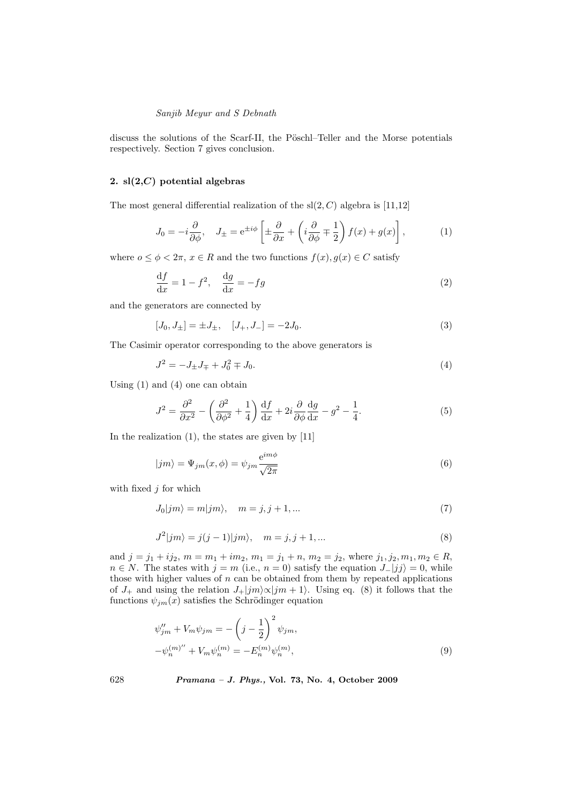discuss the solutions of the Scarf-II, the Pöschl–Teller and the Morse potentials respectively. Section 7 gives conclusion.

# 2.  $sl(2, C)$  potential algebras

The most general differential realization of the  $sl(2, C)$  algebra is [11,12]

$$
J_0 = -i\frac{\partial}{\partial \phi}, \quad J_{\pm} = e^{\pm i\phi} \left[ \pm \frac{\partial}{\partial x} + \left( i \frac{\partial}{\partial \phi} \mp \frac{1}{2} \right) f(x) + g(x) \right], \tag{1}
$$

where  $o \leq \phi \leq 2\pi$ ,  $x \in R$  and the two functions  $f(x), g(x) \in C$  satisfy

$$
\frac{\mathrm{d}f}{\mathrm{d}x} = 1 - f^2, \quad \frac{\mathrm{d}g}{\mathrm{d}x} = -fg \tag{2}
$$

and the generators are connected by

$$
[J_0, J_{\pm}] = \pm J_{\pm}, \quad [J_+, J_-] = -2J_0. \tag{3}
$$

The Casimir operator corresponding to the above generators is

$$
J^2 = -J_{\pm}J_{\mp} + J_0^2 \mp J_0. \tag{4}
$$

Using (1) and (4) one can obtain

$$
J^{2} = \frac{\partial^{2}}{\partial x^{2}} - \left(\frac{\partial^{2}}{\partial \phi^{2}} + \frac{1}{4}\right) \frac{\mathrm{d}f}{\mathrm{d}x} + 2i \frac{\partial}{\partial \phi} \frac{\mathrm{d}g}{\mathrm{d}x} - g^{2} - \frac{1}{4}.
$$
 (5)

In the realization (1), the states are given by [11]

$$
|jm\rangle = \Psi_{jm}(x,\phi) = \psi_{jm}\frac{e^{im\phi}}{\sqrt{2\pi}}\tag{6}
$$

with fixed  $j$  for which

$$
J_0|jm\rangle = m|jm\rangle, \quad m = j, j+1, \dots \tag{7}
$$

$$
J^{2}|jm\rangle = j(j-1)|jm\rangle, \quad m = j, j + 1, ...
$$
\n(8)

and  $j = j_1 + ij_2$ ,  $m = m_1 + im_2$ ,  $m_1 = j_1 + n$ ,  $m_2 = j_2$ , where  $j_1, j_2, m_1, m_2 \in R$ ,  $n \in N$ . The states with  $j = m$  (i.e.,  $n = 0$ ) satisfy the equation  $J_{-}|jj\rangle = 0$ , while those with higher values of  $n$  can be obtained from them by repeated applications of  $J_+$  and using the relation  $J_+|jm\rangle\propto|jm+1\rangle$ . Using eq. (8) it follows that the functions  $\psi_{jm}(x)$  satisfies the Schrödinger equation

$$
\psi_{jm}'' + V_m \psi_{jm} = -\left(j - \frac{1}{2}\right)^2 \psi_{jm},
$$
  

$$
-\psi_n^{(m)''} + V_m \psi_n^{(m)} = -E_n^{(m)} \psi_n^{(m)},
$$
  
(9)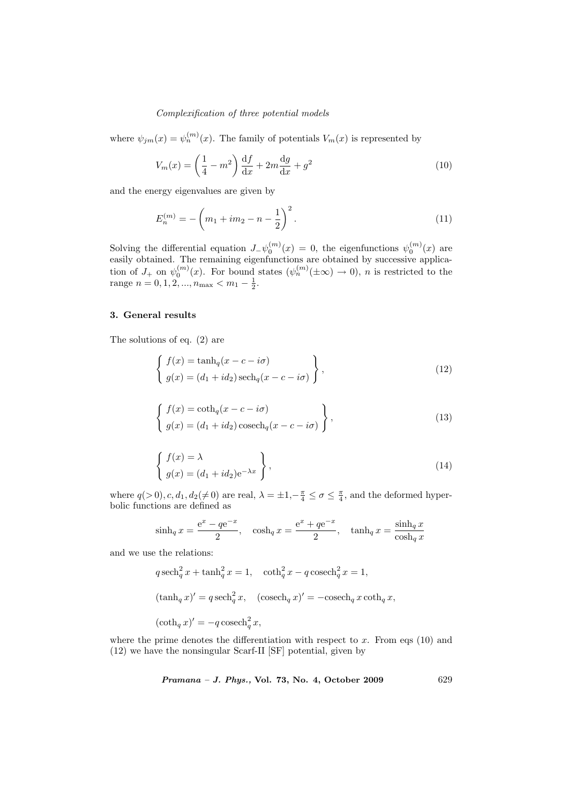where  $\psi_{jm}(x) = \psi_n^{(m)}(x)$ . The family of potentials  $V_m(x)$  is represented by

$$
V_m(x) = \left(\frac{1}{4} - m^2\right) \frac{\mathrm{d}f}{\mathrm{d}x} + 2m \frac{\mathrm{d}g}{\mathrm{d}x} + g^2 \tag{10}
$$

and the energy eigenvalues are given by

$$
E_n^{(m)} = -\left(m_1 + im_2 - n - \frac{1}{2}\right)^2.
$$
\n(11)

Solving the differential equation  $J_-\psi_0^{(m)}(x) = 0$ , the eigenfunctions  $\psi_0^{(m)}(x)$  are easily obtained. The remaining eigenfunctions are obtained by successive application of  $J_+$  on  $\psi_0^{(m)}(x)$ . For bound states  $(\psi_n^{(m)}(\pm \infty) \to 0)$ , *n* is restricted to the range  $n = 0, 1, 2, ..., n_{\text{max}} < m_1 - \frac{1}{2}$ .

#### 3. General results

The solutions of eq. (2) are

$$
\begin{cases}\nf(x) = \tanh_q(x - c - i\sigma) \\
g(x) = (d_1 + id_2)\operatorname{sech}_q(x - c - i\sigma)\n\end{cases},
$$
\n(12)

$$
\begin{cases}\nf(x) = \coth_q(x - c - i\sigma) \\
g(x) = (d_1 + id_2)\csch_q(x - c - i\sigma)\n\end{cases},
$$
\n(13)

$$
\begin{cases}\nf(x) = \lambda \\
g(x) = (d_1 + id_2)e^{-\lambda x}\n\end{cases},\n\tag{14}
$$

where  $q(>0), c, d_1, d_2(\neq 0)$  are real,  $\lambda = \pm 1, -\frac{\pi}{4} \leq \sigma \leq \frac{\pi}{4}$ , and the deformed hyperbolic functions are defined as

$$
\sinh_q x = \frac{e^x - q e^{-x}}{2}, \quad \cosh_q x = \frac{e^x + q e^{-x}}{2}, \quad \tanh_q x = \frac{\sinh_q x}{\cosh_q x}
$$

and we use the relations:

$$
q \operatorname{sech}_q^2 x + \tanh_q^2 x = 1, \quad \coth_q^2 x - q \operatorname{cosech}_q^2 x = 1,
$$
  

$$
(\tanh_q x)' = q \operatorname{sech}_q^2 x, \quad (\operatorname{cosech}_q x)' = -\operatorname{cosech}_q x \operatorname{coth}_q x,
$$
  

$$
(\coth_q x)' = -q \operatorname{cosech}_q^2 x,
$$

where the prime denotes the differentiation with respect to  $x$ . From eqs (10) and (12) we have the nonsingular Scarf-II [SF] potential, given by

Pramana – J. Phys., Vol. 73, No. 4, October 2009 629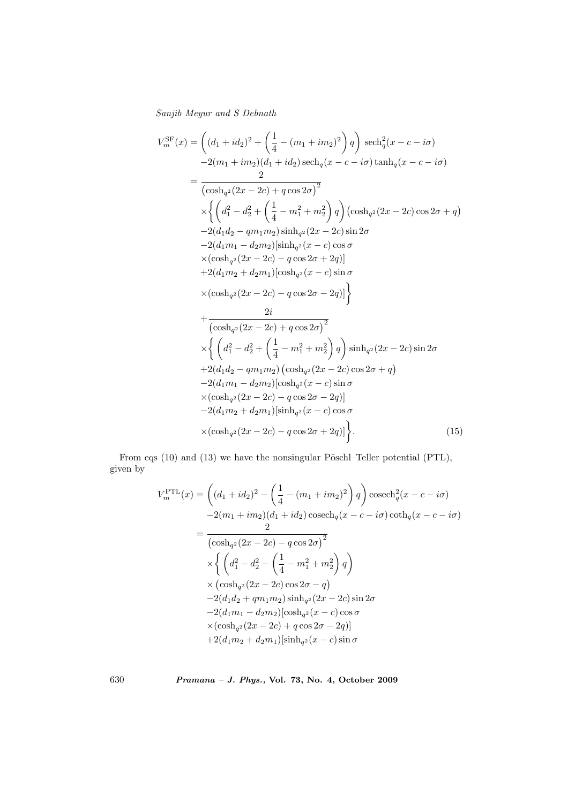$$
V_{m}^{\text{SF}}(x) = \left( (d_{1} + id_{2})^{2} + \left( \frac{1}{4} - (m_{1} + im_{2})^{2} \right) q \right) \operatorname{sech}_{q}^{2}(x - c - i\sigma)
$$
  
\n
$$
-2(m_{1} + im_{2})(d_{1} + id_{2}) \operatorname{sech}_{q}(x - c - i\sigma) \tanh_{q}(x - c - i\sigma)
$$
  
\n
$$
= \frac{2}{(\cosh_{q^{2}}(2x - 2c) + q \cos 2\sigma)^{2}} \times \left\{ \left( d_{1}^{2} - d_{2}^{2} + \left( \frac{1}{4} - m_{1}^{2} + m_{2}^{2} \right) q \right) (\cosh_{q^{2}}(2x - 2c) \cos 2\sigma + q) \right. \\ \left. -2(d_{1}d_{2} - qm_{1}m_{2}) \sinh_{q^{2}}(2x - 2c) \sin 2\sigma \right. \\ \left. -2(d_{1}m_{1} - d_{2}m_{2}) [\sinh_{q^{2}}(x - c) \cos \sigma \right. \\ \left. \times (\cosh_{q^{2}}(2x - 2c) - q \cos 2\sigma + 2q) ] \right\} \\ \left. +2(d_{1}m_{2} + d_{2}m_{1}) [\cosh_{q^{2}}(x - c) \sin \sigma \right. \\ \left. \times (\cosh_{q^{2}}(2x - 2c) - q \cos 2\sigma - 2q)] \right\}
$$
  
\n
$$
+ \frac{2i}{(\cosh_{q^{2}}(2x - 2c) + q \cos 2\sigma)^{2}} \times \left\{ \left( d_{1}^{2} - d_{2}^{2} + \left( \frac{1}{4} - m_{1}^{2} + m_{2}^{2} \right) q \right) \sinh_{q^{2}}(2x - 2c) \sin 2\sigma \right. \\ \left. +2(d_{1}d_{2} - qm_{1}m_{2}) (\cosh_{q^{2}}(2x - 2c) \cos 2\sigma + q) \right. \\ \left. -2(d_{1}m_{1} - d_{2}m_{2}) [\cosh_{q^{2}}(x - c) \sin \sigma \right. \\ \left. \times (\cosh_{q^{2}}(2x - 2c) - q \cos 2\sigma - 2q)] \right\} .
$$
  
\n

From eqs  $(10)$  and  $(13)$  we have the nonsingular Pöschl–Teller potential  $(PTL)$ , given by

$$
V_{m}^{\text{PTL}}(x) = \left( (d_{1} + id_{2})^{2} - \left( \frac{1}{4} - (m_{1} + im_{2})^{2} \right) q \right) \cscch_{q}^{2}(x - c - i\sigma)
$$
  
\n
$$
-2(m_{1} + im_{2})(d_{1} + id_{2}) \cscch_{q}(x - c - i\sigma) \coth_{q}(x - c - i\sigma)
$$
  
\n
$$
= \frac{2}{\left( \cosh_{q^{2}}(2x - 2c) - q \cos 2\sigma \right)^{2}}
$$
  
\n
$$
\times \left\{ \left( d_{1}^{2} - d_{2}^{2} - \left( \frac{1}{4} - m_{1}^{2} + m_{2}^{2} \right) q \right) \right\}
$$
  
\n
$$
\times (\cosh_{q^{2}}(2x - 2c) \cos 2\sigma - q)
$$
  
\n
$$
-2(d_{1}d_{2} + qm_{1}m_{2}) \sinh_{q^{2}}(2x - 2c) \sin 2\sigma
$$
  
\n
$$
-2(d_{1}m_{1} - d_{2}m_{2})[\cosh_{q^{2}}(x - c) \cos \sigma
$$
  
\n
$$
\times (\cosh_{q^{2}}(2x - 2c) + q \cos 2\sigma - 2q)]
$$
  
\n
$$
+2(d_{1}m_{2} + d_{2}m_{1})[\sinh_{q^{2}}(x - c) \sin \sigma
$$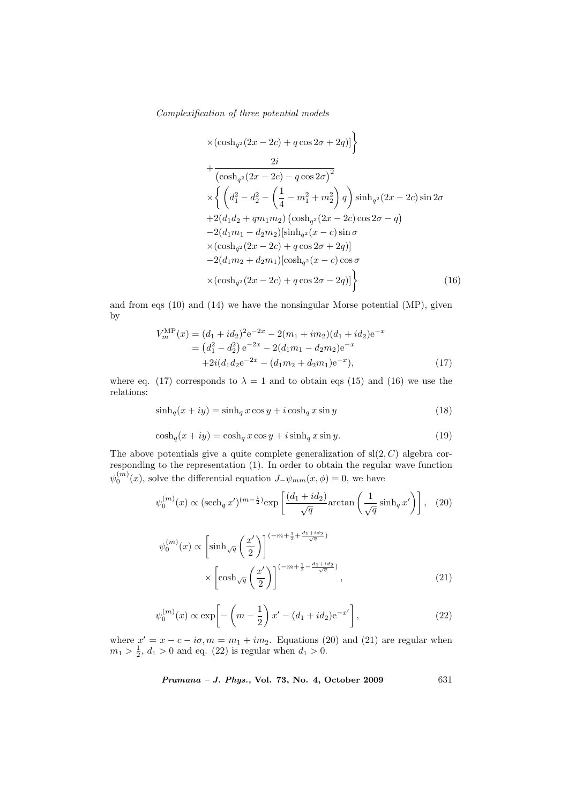$$
\times (\cosh_{q^2}(2x - 2c) + q \cos 2\sigma + 2q)] \Big\}
$$
  
+ 
$$
\frac{2i}{(\cosh_{q^2}(2x - 2c) - q \cos 2\sigma)^2}
$$
  

$$
\times \left\{ \left(d_1^2 - d_2^2 - \left(\frac{1}{4} - m_1^2 + m_2^2\right)q\right) \sinh_{q^2}(2x - 2c) \sin 2\sigma + 2(d_1d_2 + qm_1m_2) (\cosh_{q^2}(2x - 2c) \cos 2\sigma - q) - 2(d_1m_1 - d_2m_2) [\sinh_{q^2}(x - c) \sin \sigma + 2(d_1m_2 + d_2m_1) [\cosh_{q^2}(x - c) \cos \sigma + 2d_1m_2 + d_2m_1) [\cosh_{q^2}(x - c) \cos \sigma + 2d_1m_2 + d_2m_1] \cosh_{q^2}(x - c) \cos \sigma + 2d_1m_2 + d_2m_2 + d_1m_2 \cos 2\sigma - 2d_2] \Big\}
$$
(16)

and from eqs (10) and (14) we have the nonsingular Morse potential (MP), given by

$$
V_m^{\text{MP}}(x) = (d_1 + id_2)^2 e^{-2x} - 2(m_1 + im_2)(d_1 + id_2)e^{-x}
$$
  
=  $(d_1^2 - d_2^2) e^{-2x} - 2(d_1m_1 - d_2m_2)e^{-x}$   
+  $2i(d_1d_2e^{-2x} - (d_1m_2 + d_2m_1)e^{-x}),$  (17)

where eq. (17) corresponds to  $\lambda = 1$  and to obtain eqs (15) and (16) we use the relations:

$$
\sinh_q(x+iy) = \sinh_q x \cos y + i \cosh_q x \sin y \tag{18}
$$

$$
\cosh_q(x+iy) = \cosh_q x \cos y + i \sinh_q x \sin y. \tag{19}
$$

The above potentials give a quite complete generalization of  $sl(2, C)$  algebra corresponding to the representation (1). In order to obtain the regular wave function  $\psi_0^{(m)}(x)$ , solve the differential equation  $J_-\psi_{mm}(x,\phi)=0$ , we have

$$
\psi_0^{(m)}(x) \propto (\operatorname{sech}_q x')^{(m-\frac{1}{2})} \exp\left[\frac{(d_1 + id_2)}{\sqrt{q}} \operatorname{arctan}\left(\frac{1}{\sqrt{q}} \sinh_q x'\right)\right], \quad (20)
$$

$$
\psi_0^{(m)}(x) \propto \left[\sinh\sqrt{q}\left(\frac{x'}{2}\right)\right]^{(-m+\frac{1}{2}+\frac{d_1+id_2}{\sqrt{q}})}
$$

$$
\times \left[\cosh\sqrt{q}\left(\frac{x'}{2}\right)\right]^{(-m+\frac{1}{2}-\frac{d_1+id_2}{\sqrt{q}})}, \quad (21)
$$

$$
\psi_0^{(m)}(x) \propto \exp\left[-\left(m - \frac{1}{2}\right)x' - (d_1 + id_2)e^{-x'}\right],
$$
\n(22)

where  $x' = x - c - i\sigma$ ,  $m = m_1 + im_2$ . Equations (20) and (21) are regular when  $m_1 > \frac{1}{2}$ ,  $d_1 > 0$  and eq. (22) is regular when  $d_1 > 0$ .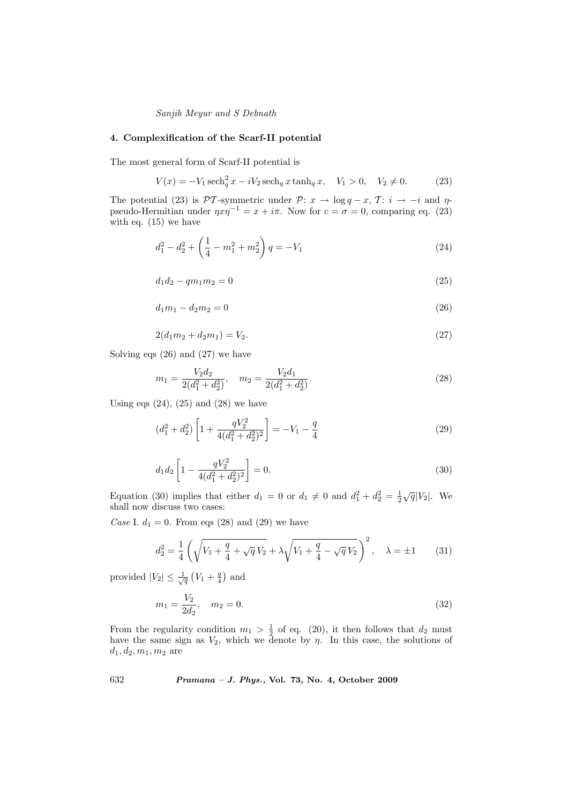# 4. Complexification of the Scarf-II potential

The most general form of Scarf-II potential is

$$
V(x) = -V_1 \operatorname{sech}_q^2 x - iV_2 \operatorname{sech}_q x \tanh_q x, \quad V_1 > 0, \quad V_2 \neq 0. \tag{23}
$$

The potential (23) is PT-symmetric under P:  $x \to \log q - x$ , T:  $i \to -i$  and  $\eta$ pseudo-Hermitian under  $\eta x \eta^{-1} = x + i\pi$ . Now for  $c = \sigma = 0$ , comparing eq. (23) with eq. (15) we have

$$
d_1^2 - d_2^2 + \left(\frac{1}{4} - m_1^2 + m_2^2\right)q = -V_1\tag{24}
$$

$$
d_1 d_2 - q m_1 m_2 = 0 \tag{25}
$$

$$
d_1 m_1 - d_2 m_2 = 0 \tag{26}
$$

$$
2(d_1m_2 + d_2m_1) = V_2. \t\t(27)
$$

Solving eqs (26) and (27) we have

$$
m_1 = \frac{V_2 d_2}{2(d_1^2 + d_2^2)}, \quad m_2 = \frac{V_2 d_1}{2(d_1^2 + d_2^2)}.
$$
\n(28)

Using eqs  $(24)$ ,  $(25)$  and  $(28)$  we have

$$
(d_1^2 + d_2^2) \left[ 1 + \frac{qV_2^2}{4(d_1^2 + d_2^2)^2} \right] = -V_1 - \frac{q}{4}
$$
 (29)

$$
d_1 d_2 \left[ 1 - \frac{qV_2^2}{4(d_1^2 + d_2^2)^2} \right] = 0.
$$
\n(30)

Equation (30) implies that either  $d_1 = 0$  or  $d_1 \neq 0$  and  $d_1^2 + d_2^2 = \frac{1}{2}\sqrt{q}|V_2|$ . We shall now discuss two cases:

Case I.  $d_1 = 0$ . From eqs (28) and (29) we have

$$
d_2^2 = \frac{1}{4} \left( \sqrt{V_1 + \frac{q}{4} + \sqrt{q} V_2} + \lambda \sqrt{V_1 + \frac{q}{4} - \sqrt{q} V_2} \right)^2, \quad \lambda = \pm 1 \quad (31)
$$

provided  $|V_2| \leq \frac{1}{\sqrt{q}}$  $V_1 + \frac{q}{4}$ and

$$
m_1 = \frac{V_2}{2d_2}, \quad m_2 = 0. \tag{32}
$$

From the regularity condition  $m_1 > \frac{1}{2}$  of eq. (20), it then follows that  $d_2$  must have the same sign as  $V_2$ , which we denote by  $\eta$ . In this case, the solutions of  $d_1, d_2, m_1, m_2$  are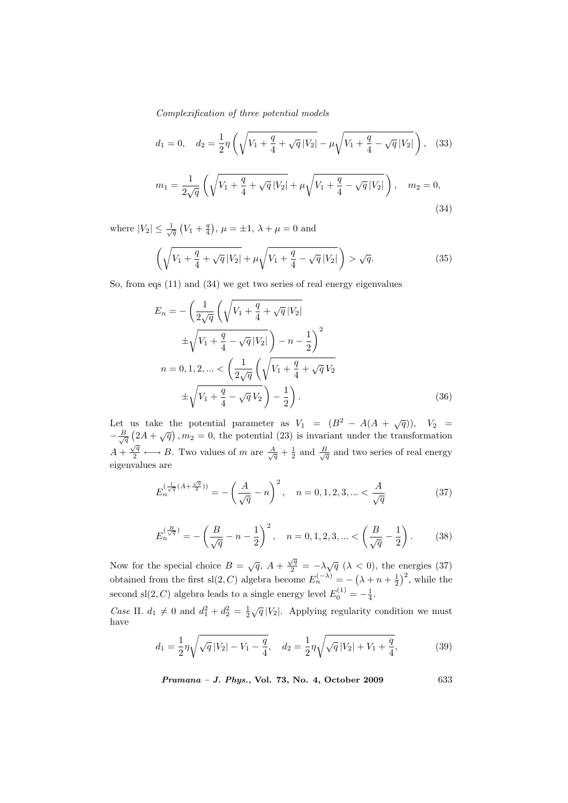$$
d_1 = 0, \quad d_2 = \frac{1}{2}\eta \left( \sqrt{V_1 + \frac{q}{4} + \sqrt{q}|V_2|} - \mu \sqrt{V_1 + \frac{q}{4} - \sqrt{q}|V_2|} \right),
$$
 (33)  

$$
m_1 = \frac{1}{2\sqrt{q}} \left( \sqrt{V_1 + \frac{q}{4} + \sqrt{q}|V_2|} + \mu \sqrt{V_1 + \frac{q}{4} - \sqrt{q}|V_2|} \right), \quad m_2 = 0,
$$
 (34)

where  $|V_2| \leq \frac{1}{\sqrt{q}}$ ¡  $V_1 + \frac{q}{4}$ ¢ ,  $\mu = \pm 1$ ,  $\lambda + \mu = 0$  and

$$
\left(\sqrt{V_1 + \frac{q}{4} + \sqrt{q}|V_2|} + \mu \sqrt{V_1 + \frac{q}{4} - \sqrt{q}|V_2|}\right) > \sqrt{q}.\tag{35}
$$

So, from eqs (11) and (34) we get two series of real energy eigenvalues

$$
E_n = -\left(\frac{1}{2\sqrt{q}}\left(\sqrt{V_1 + \frac{q}{4} + \sqrt{q}|V_2|}\n\right.\n\right.\n\left.\frac{\sqrt{V_1 + \frac{q}{4} - \sqrt{q}|V_2|}}{1 - \sqrt{q}|V_2|}\right) - n - \frac{1}{2}\n\right)^2
$$
\n
$$
n = 0, 1, 2, \ldots < \left(\frac{1}{2\sqrt{q}}\left(\sqrt{V_1 + \frac{q}{4} + \sqrt{q}|V_2}\n\right.\right.\n\left.\frac{\sqrt{V_1 + \frac{q}{4} - \sqrt{q}|V_2|}}{1 - \sqrt{q}|V_2|}\right) - \frac{1}{2}\n\right). \tag{36}
$$

Let us take the potential parameter as  $V_1 = (B^2 - A(A + \sqrt{q})), V_2 =$  $-\frac{B}{\sqrt{q}}$ u<br>′ s take ti<br>  $2A + \sqrt{q}$  $, m_2 = 0$ , the potential (23) is invariant under the transformation  $A + \frac{\sqrt{q}}{2} \longleftrightarrow B$ . Two values of m are  $\frac{A}{\sqrt{q}} + \frac{1}{2}$  and  $\frac{B}{\sqrt{q}}$  and two series of real energy eigenvalues are

$$
E_n^{(\frac{1}{\sqrt{q}}(A+\frac{\sqrt{q}}{2}))} = -\left(\frac{A}{\sqrt{q}}-n\right)^2, \quad n = 0, 1, 2, 3, \dots < \frac{A}{\sqrt{q}}\tag{37}
$$

$$
E_n^{\left(\frac{B}{\sqrt{q}}\right)} = -\left(\frac{B}{\sqrt{q}} - n - \frac{1}{2}\right)^2, \quad n = 0, 1, 2, 3, \dots < \left(\frac{B}{\sqrt{q}} - \frac{1}{2}\right). \tag{38}
$$

Now for the special choice  $B = \sqrt{q}$ ,  $A + \frac{\sqrt{q}}{2} = -\lambda \sqrt{q}$  ( $\lambda < 0$ ), the energies (37) obtained from the first sl $(2, C)$  algebra become  $E_n^{(-\lambda)} = -$ ¡  $\lambda + n + \frac{1}{2}$  $\int_0^2$ , while the second sl(2, C) algebra leads to a single energy level  $E_0^{(1)} = -\frac{1}{4}$ .

Case II.  $d_1 \neq 0$  and  $d_1^2 + d_2^2 = \frac{1}{2}\sqrt{q}|V_2|$ . Applying regularity condition we must have

$$
d_1 = \frac{1}{2}\eta \sqrt{\sqrt{q}|V_2| - V_1 - \frac{q}{4}}, \quad d_2 = \frac{1}{2}\eta \sqrt{\sqrt{q}|V_2| + V_1 + \frac{q}{4}},\tag{39}
$$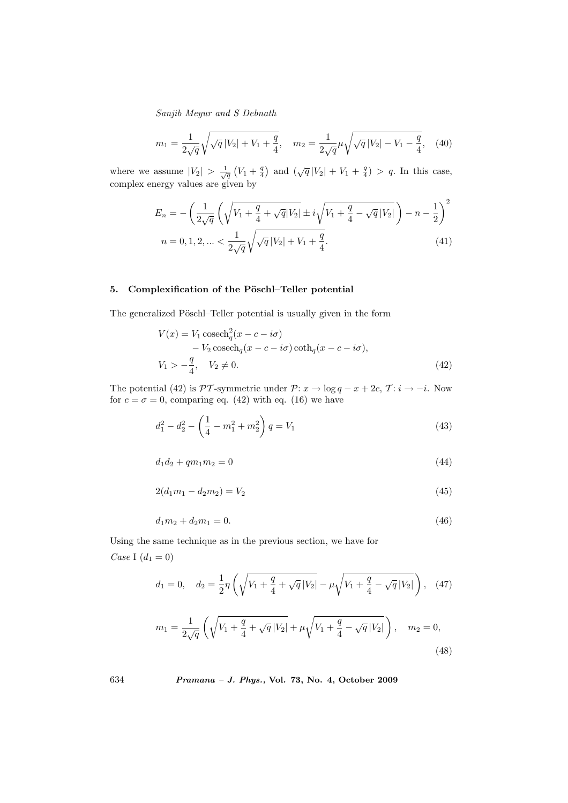$$
m_1 = \frac{1}{2\sqrt{q}}\sqrt{\sqrt{q}|V_2| + V_1 + \frac{q}{4}}, \quad m_2 = \frac{1}{2\sqrt{q}}\mu\sqrt{\sqrt{q}|V_2| - V_1 - \frac{q}{4}}, \quad (40)
$$

where we assume  $|V_2| > \frac{1}{\sqrt{q}}$  $V_1 + \frac{q}{4}$ ) and  $(\sqrt{q}|V_2| + V_1 + \frac{q}{4}) > q$ . In this case, complex energy values are given by

$$
E_n = -\left(\frac{1}{2\sqrt{q}}\left(\sqrt{V_1 + \frac{q}{4} + \sqrt{q}|V_2|} \pm i\sqrt{V_1 + \frac{q}{4} - \sqrt{q}|V_2|}\right) - n - \frac{1}{2}\right)^2
$$
  

$$
n = 0, 1, 2, \dots < \frac{1}{2\sqrt{q}}\sqrt{\sqrt{q}|V_2| + V_1 + \frac{q}{4}}.
$$
 (41)

# 5. Complexification of the Pöschl–Teller potential

The generalized Pöschl–Teller potential is usually given in the form

$$
V(x) = V_1 \csch_q^2(x - c - i\sigma)
$$
  
- V\_2 \csch\_q(x - c - i\sigma) \coth\_q(x - c - i\sigma),  

$$
V_1 > -\frac{q}{4}, \quad V_2 \neq 0.
$$
 (42)

The potential (42) is  $\mathcal{PT}$ -symmetric under  $\mathcal{P}: x \to \log q - x + 2c, \mathcal{T}: i \to -i$ . Now for  $c = \sigma = 0$ , comparing eq. (42) with eq. (16) we have

$$
d_1^2 - d_2^2 - \left(\frac{1}{4} - m_1^2 + m_2^2\right)q = V_1\tag{43}
$$

$$
d_1 d_2 + q m_1 m_2 = 0 \tag{44}
$$

$$
2(d_1m_1 - d_2m_2) = V_2 \tag{45}
$$

$$
d_1 m_2 + d_2 m_1 = 0.\t\t(46)
$$

Using the same technique as in the previous section, we have for *Case* I  $(d_1 = 0)$ 

$$
d_1 = 0, \quad d_2 = \frac{1}{2}\eta \left( \sqrt{V_1 + \frac{q}{4} + \sqrt{q}|V_2|} - \mu \sqrt{V_1 + \frac{q}{4} - \sqrt{q}|V_2|} \right), \quad (47)
$$

$$
m_1 = \frac{1}{2\sqrt{q}} \left( \sqrt{V_1 + \frac{q}{4} + \sqrt{q} |V_2|} + \mu \sqrt{V_1 + \frac{q}{4} - \sqrt{q} |V_2|} \right), \quad m_2 = 0,
$$
\n(48)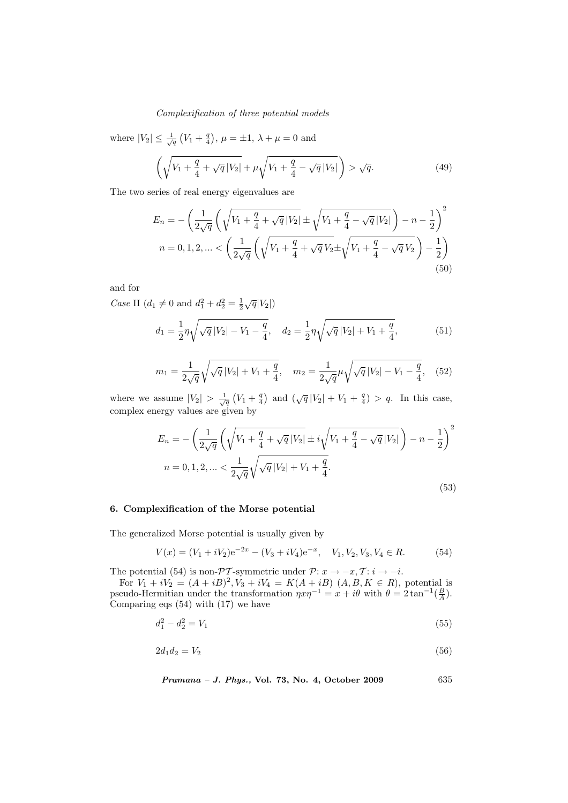where  $|V_2| \leq \frac{1}{\sqrt{q}}$ ¡  $V_1 + \frac{q}{4}$ ¢ ,  $\mu = \pm 1$ ,  $\lambda + \mu = 0$  and

$$
\left(\sqrt{V_1 + \frac{q}{4} + \sqrt{q}|V_2|} + \mu \sqrt{V_1 + \frac{q}{4} - \sqrt{q}|V_2|}\right) > \sqrt{q}.\tag{49}
$$

The two series of real energy eigenvalues are

$$
E_n = -\left(\frac{1}{2\sqrt{q}}\left(\sqrt{V_1 + \frac{q}{4} + \sqrt{q}|V_2|} \pm \sqrt{V_1 + \frac{q}{4} - \sqrt{q}|V_2|}\right) - n - \frac{1}{2}\right)^2
$$
  

$$
n = 0, 1, 2, ... < \left(\frac{1}{2\sqrt{q}}\left(\sqrt{V_1 + \frac{q}{4} + \sqrt{q}|V_2|} \pm \sqrt{V_1 + \frac{q}{4} - \sqrt{q}|V_2|}\right) - \frac{1}{2}\right)
$$
  
(50)

and for

*Case* II  $(d_1 \neq 0 \text{ and } d_1^2 + d_2^2 = \frac{1}{2}\sqrt{q}|V_2|)$ 

$$
d_1 = \frac{1}{2} \eta \sqrt{\sqrt{q} |V_2| - V_1 - \frac{q}{4}}, \quad d_2 = \frac{1}{2} \eta \sqrt{\sqrt{q} |V_2| + V_1 + \frac{q}{4}}, \tag{51}
$$

$$
m_1 = \frac{1}{2\sqrt{q}}\sqrt{\sqrt{q}|V_2| + V_1 + \frac{q}{4}}, \quad m_2 = \frac{1}{2\sqrt{q}}\mu\sqrt{\sqrt{q}|V_2| - V_1 - \frac{q}{4}}, \quad (52)
$$

where we assume  $|V_2| > \frac{1}{\sqrt{q}}$  $V_1 + \frac{q}{4}$ ) and  $(\sqrt{q}|V_2| + V_1 + \frac{q}{4}) > q$ . In this case, complex energy values are given by

$$
E_n = -\left(\frac{1}{2\sqrt{q}}\left(\sqrt{V_1 + \frac{q}{4} + \sqrt{q}|V_2|} \pm i\sqrt{V_1 + \frac{q}{4} - \sqrt{q}|V_2|}\right) - n - \frac{1}{2}\right)^2
$$
  

$$
n = 0, 1, 2, \dots < \frac{1}{2\sqrt{q}}\sqrt{\sqrt{q}|V_2| + V_1 + \frac{q}{4}}.
$$
\n
$$
(53)
$$

# 6. Complexification of the Morse potential

The generalized Morse potential is usually given by

$$
V(x) = (V_1 + iV_2)e^{-2x} - (V_3 + iV_4)e^{-x}, \quad V_1, V_2, V_3, V_4 \in R.
$$
 (54)

The potential (54) is non- $\mathcal{PT}$ -symmetric under  $\mathcal{P}: x \to -x, \mathcal{T}: i \to -i$ .

For  $V_1 + iV_2 = (A + iB)^2$ ,  $V_3 + iV_4 = K(A + iB)$   $(A, B, K \in R)$ , potential is pseudo-Hermitian under the transformation  $\eta x \eta^{-1} = x + i\theta$  with  $\theta = 2 \tan^{-1}(\frac{B}{A})$ . Comparing eqs (54) with (17) we have

$$
d_1^2 - d_2^2 = V_1 \tag{55}
$$

$$
2d_1d_2 = V_2 \tag{56}
$$

Pramana – J. Phys., Vol. 73, No. 4, October 2009 635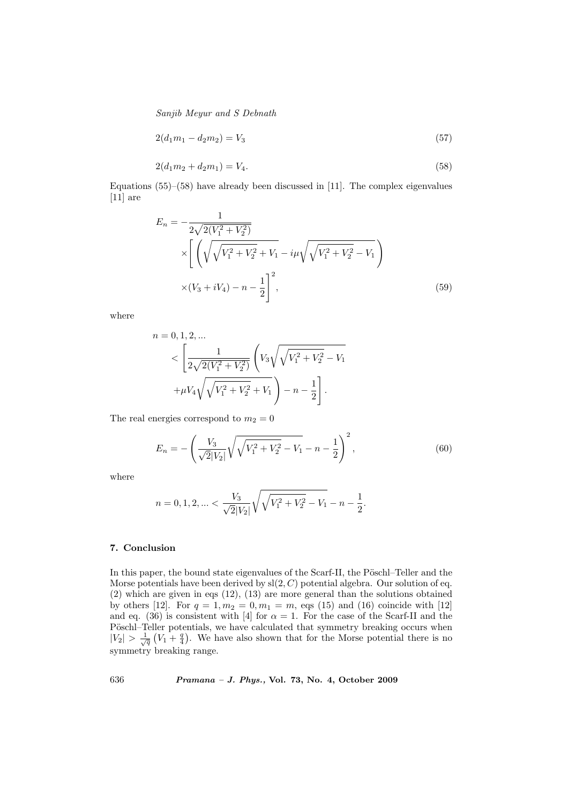$$
2(d_1m_1 - d_2m_2) = V_3 \tag{57}
$$

$$
2(d_1m_2 + d_2m_1) = V_4. \tag{58}
$$

Equations (55)–(58) have already been discussed in [11]. The complex eigenvalues [11] are

$$
E_n = -\frac{1}{2\sqrt{2(V_1^2 + V_2^2)}}
$$
  
 
$$
\times \left[ \left( \sqrt{\sqrt{V_1^2 + V_2^2} + V_1} - i\mu \sqrt{\sqrt{V_1^2 + V_2^2} - V_1} \right) \right]
$$
  
 
$$
\times (V_3 + iV_4) - n - \frac{1}{2} \right]^2,
$$
 (59)

where

 $\boldsymbol{n}$ 

$$
= 0, 1, 2, ...
$$
  

$$
< \left[\frac{1}{2\sqrt{2(V_1^2 + V_2^2)}} \left(V_3\sqrt{\sqrt{V_1^2 + V_2^2} - V_1}\right) + \mu V_4 \sqrt{\sqrt{V_1^2 + V_2^2} + V_1}\right) - n - \frac{1}{2}\right].
$$

The real energies correspond to  $m_2 = 0$ 

$$
E_n = -\left(\frac{V_3}{\sqrt{2}|V_2|}\sqrt{\sqrt{V_1^2 + V_2^2} - V_1} - n - \frac{1}{2}\right)^2,\tag{60}
$$

where

$$
n = 0, 1, 2, \ldots < \frac{V_3}{\sqrt{2}|V_2|} \sqrt{\sqrt{V_1^2 + V_2^2} - V_1} - n - \frac{1}{2}.
$$

# 7. Conclusion

In this paper, the bound state eigenvalues of the Scarf-II, the Pöschl–Teller and the Morse potentials have been derived by  $sl(2, C)$  potential algebra. Our solution of eq. (2) which are given in eqs (12), (13) are more general than the solutions obtained by others [12]. For  $q = 1, m_2 = 0, m_1 = m$ , eqs (15) and (16) coincide with [12] and eq. (36) is consistent with [4] for  $\alpha = 1$ . For the case of the Scarf-II and the Pöschl–Teller potentials, we have calculated that symmetry breaking occurs when  $|V_2| > \frac{1}{\sqrt{q}}(V_1 + \frac{q}{4})$ . We have also shown that for the Morse potential there is no symmetry breaking range.